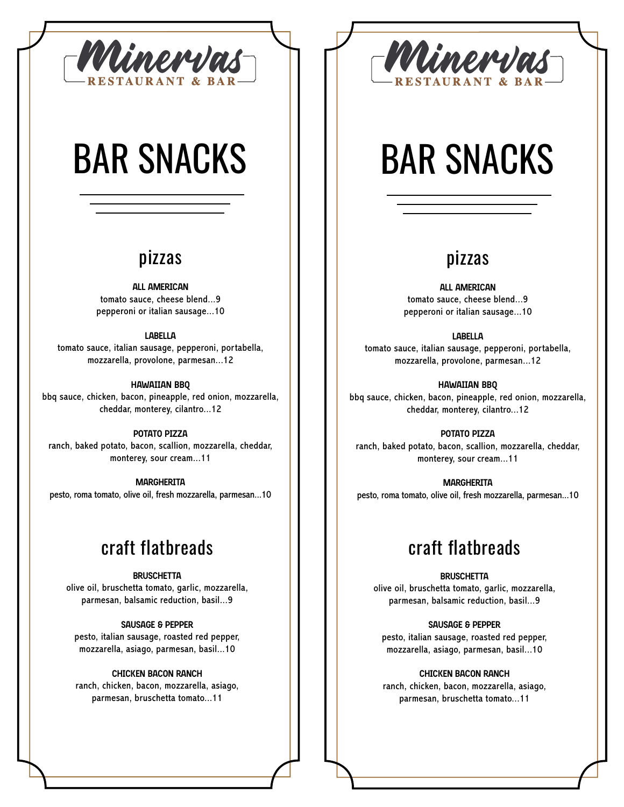

# BAR SNACKS

### pizzas

**ALL AMERICAN** tomato sauce, cheese blend...9 pepperoni or italian sausage...10

#### **LABELLA**

tomato sauce, italian sausage, pepperoni, portabella, mozzarella, provolone, parmesan...12

#### **HAWAIIAN BBQ**

bbq sauce, chicken, bacon, pineapple, red onion, mozzarella, cheddar, monterey, cilantro...12

#### **POTATO PIZZA**

ranch, baked potato, bacon, scallion, mozzarella, cheddar, monterey, sour cream...11

**MARGHERITA** pesto, roma tomato, olive oil, fresh mozzarella, parmesan...10

## craft flatbreads

#### **BRUSCHETTA**

olive oil, bruschetta tomato, garlic, mozzarella, parmesan, balsamic reduction, basil...9

#### **SAUSAGE & PEPPER**

pesto, italian sausage, roasted red pepper, mozzarella, asiago, parmesan, basil...10

#### **CHICKEN BACON RANCH**

ranch, chicken, bacon, mozzarella, asiago, parmesan, bruschetta tomato...11



# BAR SNACKS

### pizzas

**ALL AMERICAN** tomato sauce, cheese blend...9 pepperoni or italian sausage...10

**LABELLA**

tomato sauce, italian sausage, pepperoni, portabella, mozzarella, provolone, parmesan...12

**HAWAIIAN BBQ** bbq sauce, chicken, bacon, pineapple, red onion, mozzarella, cheddar, monterey, cilantro...12

#### **POTATO PIZZA**

ranch, baked potato, bacon, scallion, mozzarella, cheddar, monterey, sour cream...11

**MARGHERITA** pesto, roma tomato, olive oil, fresh mozzarella, parmesan...10

## craft flatbreads

#### **BRUSCHETTA**

olive oil, bruschetta tomato, garlic, mozzarella, parmesan, balsamic reduction, basil...9

**SAUSAGE & PEPPER**

pesto, italian sausage, roasted red pepper, mozzarella, asiago, parmesan, basil...10

**CHICKEN BACON RANCH**

ranch, chicken, bacon, mozzarella, asiago, parmesan, bruschetta tomato...11